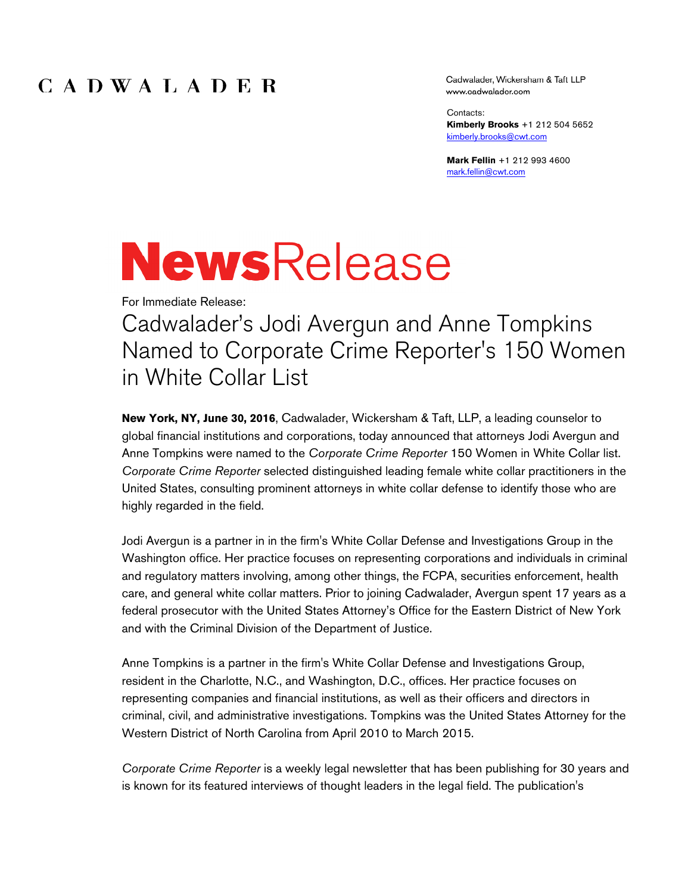### $C$  A D W A L A D E R

Cadwalader, Wickersham & Taft LLP www.cadwalader.com

Contacts: **Kimberly Brooks** +1 212 504 5652 kimberly.brooks@cwt.com

**Mark Fellin** +1 212 993 4600 mark.fellin@cwt.com

# **NewsRelease**

For Immediate Release:

# Cadwalader's Jodi Avergun and Anne Tompkins Named to Corporate Crime Reporter's 150 Women in White Collar List

**New York, NY, June 30, 2016**, Cadwalader, Wickersham & Taft, LLP, a leading counselor to global financial institutions and corporations, today announced that attorneys Jodi Avergun and Anne Tompkins were named to the *Corporate Crime Reporter* 150 Women in White Collar list. *Corporate Crime Reporter* selected distinguished leading female white collar practitioners in the United States, consulting prominent attorneys in white collar defense to identify those who are highly regarded in the field.

Jodi Avergun is a partner in in the firm's White Collar Defense and Investigations Group in the Washington office. Her practice focuses on representing corporations and individuals in criminal and regulatory matters involving, among other things, the FCPA, securities enforcement, health care, and general white collar matters. Prior to joining Cadwalader, Avergun spent 17 years as a federal prosecutor with the United States Attorney's Office for the Eastern District of New York and with the Criminal Division of the Department of Justice.

Anne Tompkins is a partner in the firm's White Collar Defense and Investigations Group, resident in the Charlotte, N.C., and Washington, D.C., offices. Her practice focuses on representing companies and financial institutions, as well as their officers and directors in criminal, civil, and administrative investigations. Tompkins was the United States Attorney for the Western District of North Carolina from April 2010 to March 2015.

*Corporate Crime Reporter* is a weekly legal newsletter that has been publishing for 30 years and is known for its featured interviews of thought leaders in the legal field. The publication's